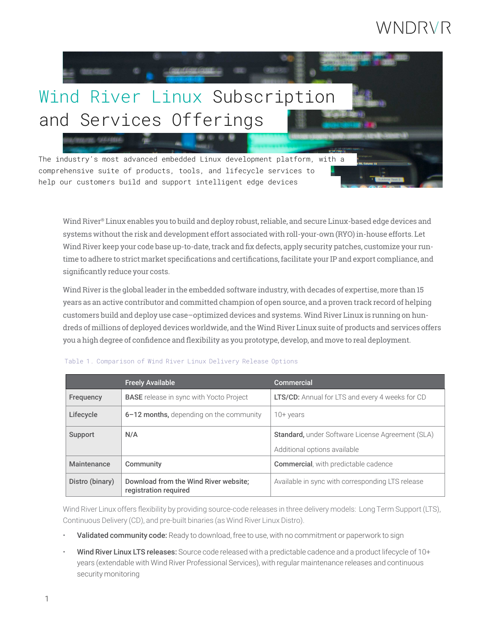# WNDRVR



Wind River® Linux enables you to build and deploy robust, reliable, and secure Linux-based edge devices and systems without the risk and development effort associated with roll-your-own (RYO) in-house efforts. Let Wind River keep your code base up-to-date, track and fix defects, apply security patches, customize your runtime to adhere to strict market specifications and certifications, facilitate your IP and export compliance, and significantly reduce your costs.

Wind River is the global leader in the embedded software industry, with decades of expertise, more than 15 years as an active contributor and committed champion of open source, and a proven track record of helping customers build and deploy use case–optimized devices and systems. Wind River Linux is running on hundreds of millions of deployed devices worldwide, and the Wind River Linux suite of products and services offers you a high degree of confidence and flexibility as you prototype, develop, and move to real deployment.

|                 | <b>Freely Available</b>                                        | Commercial                                              |
|-----------------|----------------------------------------------------------------|---------------------------------------------------------|
| Frequency       | <b>BASE</b> release in sync with Yocto Project                 | <b>LTS/CD:</b> Annual for LTS and every 4 weeks for CD  |
| Lifecycle       | $6-12$ months, depending on the community                      | 10+ years                                               |
| Support         | N/A                                                            | <b>Standard, under Software License Agreement (SLA)</b> |
|                 |                                                                | Additional options available                            |
| Maintenance     | Community                                                      | <b>Commercial</b> , with predictable cadence            |
| Distro (binary) | Download from the Wind River website;<br>registration required | Available in sync with corresponding LTS release        |

#### Table 1. Comparison of Wind River Linux Delivery Release Options

Wind River Linux offers flexibility by providing source-code releases in three delivery models: Long Term Support (LTS), Continuous Delivery (CD), and pre-built binaries (as Wind River Linux Distro).

- Validated community code: Ready to download, free to use, with no commitment or paperwork to sign
- Wind River Linux LTS releases: Source code released with a predictable cadence and a product lifecycle of 10+ years (extendable with Wind River Professional Services), with regular maintenance releases and continuous security monitoring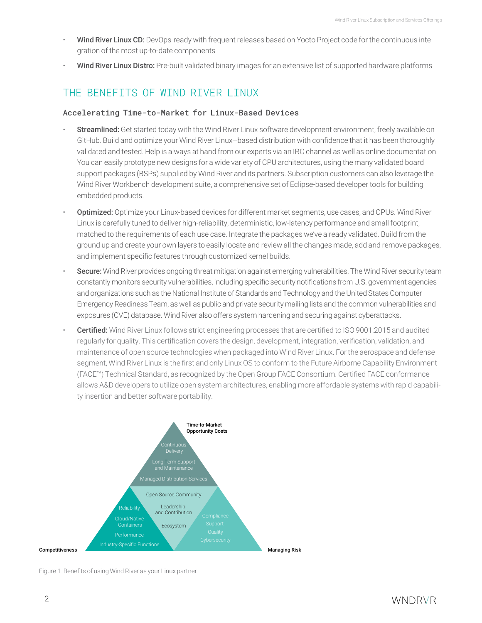- Wind River Linux CD: DevOps-ready with frequent releases based on Yocto Project code for the continuous integration of the most up-to-date components
- Wind River Linux Distro: Pre-built validated binary images for an extensive list of supported hardware platforms

## THE BENEFTTS OF WIND RIVER I INUX

### Accelerating Time-to-Market for Linux-Based Devices

- Streamlined: Get started today with the Wind River Linux software development environment, freely available on GitHub. Build and optimize your Wind River Linux–based distribution with confidence that it has been thoroughly validated and tested. Help is always at hand from our experts via an IRC channel as well as online documentation. You can easily prototype new designs for a wide variety of CPU architectures, using the many validated board support packages (BSPs) supplied by Wind River and its partners. Subscription customers can also leverage the Wind River Workbench development suite, a comprehensive set of Eclipse-based developer tools for building embedded products.
- Optimized: Optimize your Linux-based devices for different market segments, use cases, and CPUs. Wind River Linux is carefully tuned to deliver high-reliability, deterministic, low-latency performance and small footprint, matched to the requirements of each use case. Integrate the packages we've already validated. Build from the ground up and create your own layers to easily locate and review all the changes made, add and remove packages, and implement specific features through customized kernel builds.
- Secure: Wind River provides ongoing threat mitigation against emerging vulnerabilities. The Wind River security team constantly monitors security vulnerabilities, including specific security notifications from U.S. government agencies and organizations such as the National Institute of Standards and Technology and the United States Computer Emergency Readiness Team, as well as public and private security mailing lists and the common vulnerabilities and exposures (CVE) database. Wind River also offers system hardening and securing against cyberattacks.
- Certified: Wind River Linux follows strict engineering processes that are certified to ISO 9001:2015 and audited regularly for quality. This certification covers the design, development, integration, verification, validation, and maintenance of open source technologies when packaged into Wind River Linux. For the aerospace and defense segment, Wind River Linux is the first and only Linux OS to conform to the Future Airborne Capability Environment (FACE™) Technical Standard, as recognized by the Open Group FACE Consortium. Certified FACE conformance allows A&D developers to utilize open system architectures, enabling more affordable systems with rapid capability insertion and better software portability.



Figure 1. Benefits of using Wind River as your Linux partner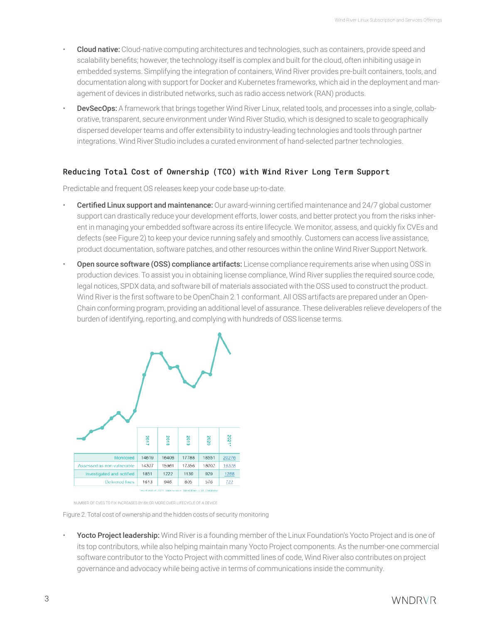- **Cloud native:** Cloud-native computing architectures and technologies, such as containers, provide speed and scalability benefits; however, the technology itself is complex and built for the cloud, often inhibiting usage in embedded systems. Simplifying the integration of containers, Wind River provides pre-built containers, tools, and documentation along with support for Docker and Kubernetes frameworks, which aid in the deployment and management of devices in distributed networks, such as radio access network (RAN) products.
- DevSecOps: A framework that brings together Wind River Linux, related tools, and processes into a single, collaborative, transparent, secure environment under Wind River Studio, which is designed to scale to geographically dispersed developer teams and offer extensibility to industry-leading technologies and tools through partner integrations. Wind River Studio includes a curated environment of hand-selected partner technologies.

## Reducing Total Cost of Ownership (TCO) with Wind River Long Term Support

Predictable and frequent OS releases keep your code base up-to-date.

- **Certified Linux support and maintenance:** Our award-winning certified maintenance and 24/7 global customer support can drastically reduce your development efforts, lower costs, and better protect you from the risks inherent in managing your embedded software across its entire lifecycle. We monitor, assess, and quickly fix CVEs and defects (see Figure 2) to keep your device running safely and smoothly. Customers can access live assistance, product documentation, software patches, and other resources within the online Wind River Support Network.
- Open source software (OSS) compliance artifacts: License compliance requirements arise when using OSS in production devices. To assist you in obtaining license compliance, Wind River supplies the required source code, legal notices, SPDX data, and software bill of materials associated with the OSS used to construct the product. Wind River is the first software to be OpenChain 2.1 conformant. All OSS artifacts are prepared under an Open-Chain conforming program, providing an additional level of assurance. These deliverables relieve developers of the burden of identifying, reporting, and complying with hundreds of OSS license terms.



NUMBER OF CVES TO FIX INCREASES BY 8X OR MORE OVER LIFECYCLE OF A DEVICE

Figure 2. Total cost of ownership and the hidden costs of security monitoring

Yocto Project leadership: Wind River is a founding member of the Linux Foundation's Yocto Project and is one of its top contributors, while also helping maintain many Yocto Project components. As the number-one commercial software contributor to the Yocto Project with committed lines of code, Wind River also contributes on project governance and advocacy while being active in terms of communications inside the community.